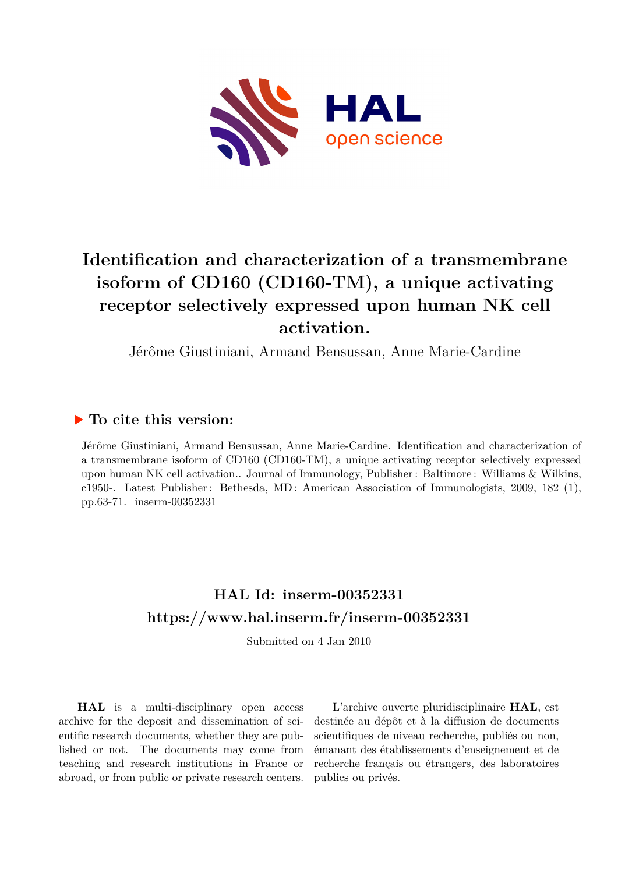

## **Identification and characterization of a transmembrane isoform of CD160 (CD160-TM), a unique activating receptor selectively expressed upon human NK cell activation.**

Jérôme Giustiniani, Armand Bensussan, Anne Marie-Cardine

## **To cite this version:**

Jérôme Giustiniani, Armand Bensussan, Anne Marie-Cardine. Identification and characterization of a transmembrane isoform of CD160 (CD160-TM), a unique activating receptor selectively expressed upon human NK cell activation.. Journal of Immunology, Publisher : Baltimore : Williams & Wilkins, c1950-. Latest Publisher : Bethesda, MD : American Association of Immunologists, 2009, 182 (1), pp.63-71. inserm-00352331

## **HAL Id: inserm-00352331 <https://www.hal.inserm.fr/inserm-00352331>**

Submitted on 4 Jan 2010

**HAL** is a multi-disciplinary open access archive for the deposit and dissemination of scientific research documents, whether they are published or not. The documents may come from teaching and research institutions in France or abroad, or from public or private research centers.

L'archive ouverte pluridisciplinaire **HAL**, est destinée au dépôt et à la diffusion de documents scientifiques de niveau recherche, publiés ou non, émanant des établissements d'enseignement et de recherche français ou étrangers, des laboratoires publics ou privés.